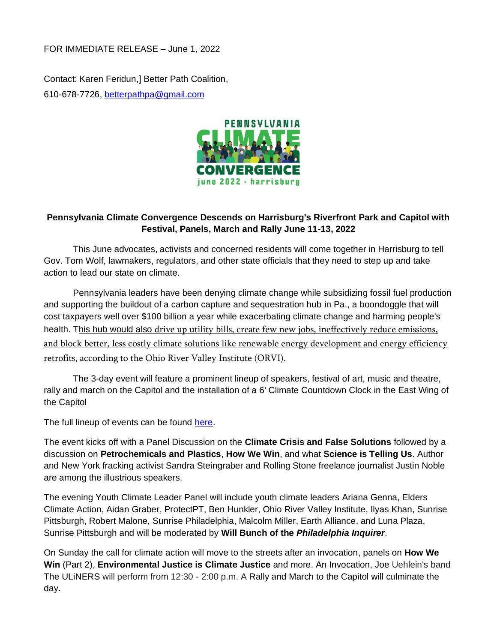FOR IMMEDIATE RELEASE – June 1, 2022

Contact: Karen Feridun,] Better Path Coalition, 610-678-7726, [betterpathpa@gmail.com](mailto:betterpathpa@gmail.com)



## **Pennsylvania Climate Convergence Descends on Harrisburg's Riverfront Park and Capitol with Festival, Panels, March and Rally June 11-13, 2022**

This June advocates, activists and concerned residents will come together in Harrisburg to tell Gov. Tom Wolf, lawmakers, regulators, and other state officials that they need to step up and take action to lead our state on climate.

Pennsylvania leaders have been denying climate change while subsidizing fossil fuel production and supporting the buildout of a carbon capture and sequestration hub in Pa., a boondoggle that will cost taxpayers well over \$100 billion a year while exacerbating climate change and harming people's health. This hub would also [drive up utility bills, create few new jobs, ineffectively reduce emissions,](https://docs.google.com/document/d/1t886oukNH4Vb9DaR-S5xUpg-hY73ekuYUazjKDBt910/edit)  [and block better, less costly climate solutions like renewable energy development and energy efficiency](https://docs.google.com/document/d/1t886oukNH4Vb9DaR-S5xUpg-hY73ekuYUazjKDBt910/edit)  [retrofits,](https://docs.google.com/document/d/1t886oukNH4Vb9DaR-S5xUpg-hY73ekuYUazjKDBt910/edit) according to the Ohio River Valley Institute (ORVI).

The 3-day event will feature a prominent lineup of speakers, festival of art, music and theatre, rally and march on the Capitol and the installation of a 6' Climate Countdown Clock in the East Wing of the Capitol

The full lineup of events can be found [here.](https://www.pennsylvaniaclimateconvergence.org/events)

The event kicks off with a Panel Discussion on the **Climate Crisis and False Solutions** followed by a discussion on **Petrochemicals and Plastics**, **How We Win**, and what **Science is Telling Us**. Author and New York fracking activist Sandra Steingraber and Rolling Stone freelance journalist Justin Noble are among the illustrious speakers.

The evening Youth Climate Leader Panel will include youth climate leaders Ariana Genna, Elders Climate Action, Aidan Graber, ProtectPT, Ben Hunkler, Ohio River Valley Institute, Ilyas Khan, Sunrise Pittsburgh, Robert Malone, Sunrise Philadelphia, Malcolm Miller, Earth Alliance, and Luna Plaza, Sunrise Pittsburgh and will be moderated by **Will Bunch of the** *Philadelphia Inquirer*.

On Sunday the call for climate action will move to the streets after an invocation, panels on **How We Win** (Part 2), **Environmental Justice is Climate Justice** and more. An Invocation, Joe Uehlein's band The ULiNERS will perform from 12:30 - 2:00 p.m. A Rally and March to the Capitol will culminate the day.